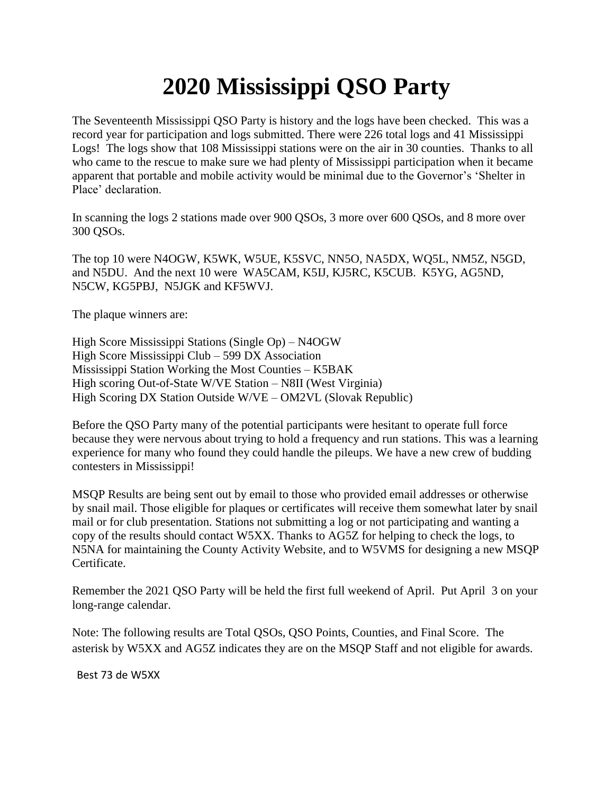## **2020 Mississippi QSO Party**

The Seventeenth Mississippi QSO Party is history and the logs have been checked. This was a record year for participation and logs submitted. There were 226 total logs and 41 Mississippi Logs! The logs show that 108 Mississippi stations were on the air in 30 counties. Thanks to all who came to the rescue to make sure we had plenty of Mississippi participation when it became apparent that portable and mobile activity would be minimal due to the Governor's 'Shelter in Place' declaration.

In scanning the logs 2 stations made over 900 QSOs, 3 more over 600 QSOs, and 8 more over 300 QSOs.

The top 10 were N4OGW, K5WK, W5UE, K5SVC, NN5O, NA5DX, WQ5L, NM5Z, N5GD, and N5DU. And the next 10 were WA5CAM, K5IJ, KJ5RC, K5CUB. K5YG, AG5ND, N5CW, KG5PBJ, N5JGK and KF5WVJ.

The plaque winners are:

High Score Mississippi Stations (Single Op) – N4OGW High Score Mississippi Club – 599 DX Association Mississippi Station Working the Most Counties – K5BAK High scoring Out-of-State W/VE Station – N8II (West Virginia) High Scoring DX Station Outside W/VE – OM2VL (Slovak Republic)

Before the QSO Party many of the potential participants were hesitant to operate full force because they were nervous about trying to hold a frequency and run stations. This was a learning experience for many who found they could handle the pileups. We have a new crew of budding contesters in Mississippi!

MSQP Results are being sent out by email to those who provided email addresses or otherwise by snail mail. Those eligible for plaques or certificates will receive them somewhat later by snail mail or for club presentation. Stations not submitting a log or not participating and wanting a copy of the results should contact W5XX. Thanks to AG5Z for helping to check the logs, to N5NA for maintaining the County Activity Website, and to W5VMS for designing a new MSQP Certificate.

Remember the 2021 QSO Party will be held the first full weekend of April. Put April 3 on your long-range calendar.

Note: The following results are Total QSOs, QSO Points, Counties, and Final Score. The asterisk by W5XX and AG5Z indicates they are on the MSQP Staff and not eligible for awards.

Best 73 de W5XX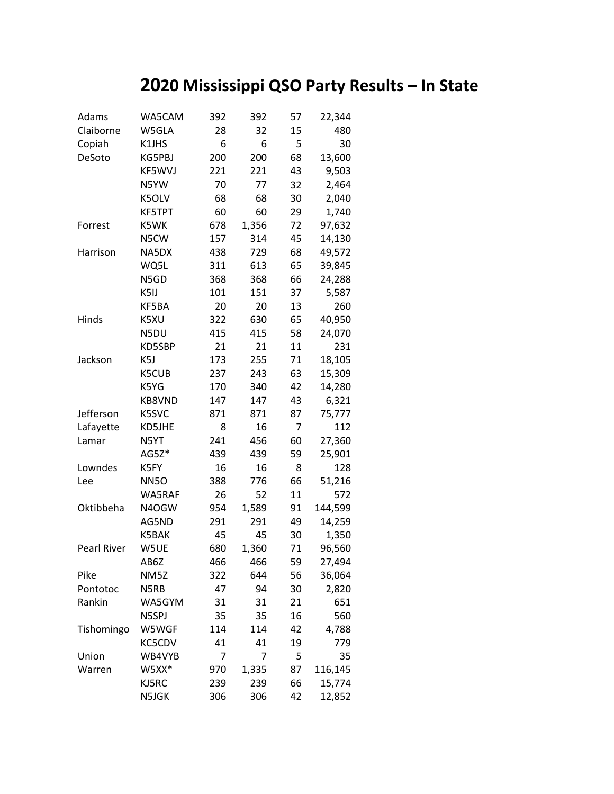## **2020 Mississippi QSO Party Results – In State**

| Adams       | WA5CAM       | 392 | 392   | 57 | 22,344  |
|-------------|--------------|-----|-------|----|---------|
| Claiborne   | W5GLA        | 28  | 32    | 15 | 480     |
| Copiah      | K1JHS        | 6   | 6     | 5  | 30      |
| DeSoto      | KG5PBJ       | 200 | 200   | 68 | 13,600  |
|             | KF5WVJ       | 221 | 221   | 43 | 9,503   |
|             | N5YW         | 70  | 77    | 32 | 2,464   |
|             | K5OLV        | 68  | 68    | 30 | 2,040   |
|             | KF5TPT       | 60  | 60    | 29 | 1,740   |
| Forrest     | K5WK         | 678 | 1,356 | 72 | 97,632  |
|             | N5CW         | 157 | 314   | 45 | 14,130  |
| Harrison    | NA5DX        | 438 | 729   | 68 | 49,572  |
|             | WQ5L         | 311 | 613   | 65 | 39,845  |
|             | N5GD         | 368 | 368   | 66 | 24,288  |
|             | K5IJ         | 101 | 151   | 37 | 5,587   |
|             | KF5BA        | 20  | 20    | 13 | 260     |
| Hinds       | K5XU         | 322 | 630   | 65 | 40,950  |
|             | N5DU         | 415 | 415   | 58 | 24,070  |
|             | KD5SBP       | 21  | 21    | 11 | 231     |
| Jackson     | K5J          | 173 | 255   | 71 | 18,105  |
|             | <b>K5CUB</b> | 237 | 243   | 63 | 15,309  |
|             | K5YG         | 170 | 340   | 42 | 14,280  |
|             | KB8VND       | 147 | 147   | 43 | 6,321   |
| Jefferson   | K5SVC        | 871 | 871   | 87 | 75,777  |
| Lafayette   | KD5JHE       | 8   | 16    | 7  | 112     |
| Lamar       | N5YT         | 241 | 456   | 60 | 27,360  |
|             | AG5Z*        | 439 | 439   | 59 | 25,901  |
| Lowndes     | K5FY         | 16  | 16    | 8  | 128     |
| Lee         | <b>NN5O</b>  | 388 | 776   | 66 | 51,216  |
|             | WA5RAF       | 26  | 52    | 11 | 572     |
| Oktibbeha   | N4OGW        | 954 | 1,589 | 91 | 144,599 |
|             | AG5ND        | 291 | 291   | 49 | 14,259  |
|             | K5BAK        | 45  | 45    | 30 | 1,350   |
| Pearl River | W5UE         | 680 | 1,360 | 71 | 96,560  |
|             | AB6Z         | 466 | 466   | 59 | 27,494  |
| Pike        | NM5Z         | 322 | 644   | 56 | 36,064  |
| Pontotoc    | N5RB         | 47  | 94    | 30 | 2,820   |
| Rankin      | WA5GYM       | 31  | 31    | 21 | 651     |
|             | N5SPJ        | 35  | 35    | 16 | 560     |
| Tishomingo  | W5WGF        | 114 | 114   | 42 | 4,788   |
|             | KC5CDV       | 41  | 41    | 19 | 779     |
| Union       | WB4VYB       | 7   | 7     | 5  | 35      |
| Warren      | W5XX*        | 970 | 1,335 | 87 | 116,145 |
|             | KJ5RC        | 239 | 239   | 66 | 15,774  |
|             | N5JGK        | 306 | 306   | 42 | 12,852  |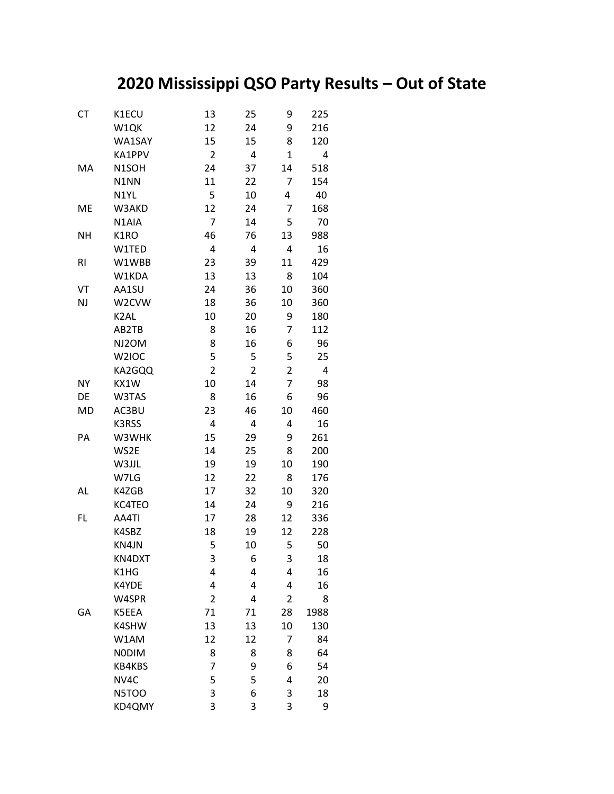## **2020 Mississippi QSO Party Results – Out of State**

| <b>CT</b>      | K1ECU             | 13             | 25             | 9                       | 225  |
|----------------|-------------------|----------------|----------------|-------------------------|------|
|                | W1QK              | 12             | 24             | 9                       | 216  |
|                | WA1SAY            | 15             | 15             | 8                       | 120  |
|                | KA1PPV            | $\overline{2}$ | 4              | $\overline{1}$          | 4    |
| MA             | N1SOH             | 24             | 37             | 14                      | 518  |
|                | N1NN              | 11             | 22             | 7                       | 154  |
|                | N1YL              | 5              | 10             | 4                       | 40   |
| ME             | W3AKD             | 12             | 24             | 7                       | 168  |
|                | N1AIA             | $\overline{7}$ | 14             | 5                       | 70   |
| <b>NH</b>      | K1RO              | 46             | 76             | 13                      | 988  |
|                | W1TED             | 4              | 4              | $\overline{\mathbf{4}}$ | 16   |
| R <sub>l</sub> | W1WBB             | 23             | 39             | 11                      | 429  |
|                | W1KDA             | 13             | 13             | 8                       | 104  |
| VT             | AA1SU             | 24             | 36             | 10                      | 360  |
| <b>NJ</b>      | W2CVW             | 18             | 36             | 10                      | 360  |
|                | K <sub>2</sub> AL | 10             | 20             | 9                       | 180  |
|                | AB2TB             | 8              | 16             | 7                       | 112  |
|                | NJ2OM             | 8              | 16             | 6                       | 96   |
|                | W2IOC             | 5              | 5              | 5                       | 25   |
|                | KA2GQQ            | $\overline{2}$ | $\overline{2}$ | $\overline{2}$          | 4    |
| <b>NY</b>      | KX1W              | 10             | 14             | 7                       | 98   |
| DE             | W3TAS             | 8              | 16             | 6                       | 96   |
| <b>MD</b>      | AC3BU             | 23             | 46             | 10                      | 460  |
|                | K3RSS             | 4              | 4              | 4                       | 16   |
| PA             | W3WHK             | 15             | 29             | 9                       | 261  |
|                | WS2E              | 14             | 25             | 8                       | 200  |
|                | W3JJL             | 19             | 19             | 10                      | 190  |
|                | W7LG              | 12             | 22             | 8                       | 176  |
| AL             | K4ZGB             | 17             | 32             | 10                      | 320  |
|                | KC4TEO            | 14             | 24             | 9                       | 216  |
| FL             | AA4TI             | 17             | 28             | 12                      | 336  |
|                | K4SBZ             | 18             | 19             | 12                      | 228  |
|                | KN4JN             | 5              | 10             | 5                       | 50   |
|                | KN4DXT            | 3              | 6              | 3                       | 18   |
|                | K1HG              | 4              | 4              | 4                       | 16   |
|                | K4YDE             | 4              | 4              | $\overline{\mathbf{4}}$ | 16   |
|                | W4SPR             | $\overline{2}$ | 4              | $\overline{2}$          | 8    |
| GA             | K5EEA             | 71             | 71             | 28                      | 1988 |
|                | K4SHW             | 13             | 13             | 10                      | 130  |
|                | W1AM              | 12             | 12             | 7                       | 84   |
|                | <b>NODIM</b>      | 8              | 8              | 8                       | 64   |
|                | KB4KBS            | 7              | 9              | 6                       | 54   |
|                | NV4C              | 5              | 5              | 4                       | 20   |
|                | N5TOO             | 3              | 6              | 3                       | 18   |
|                | KD4QMY            | 3              | 3              | 3                       | 9    |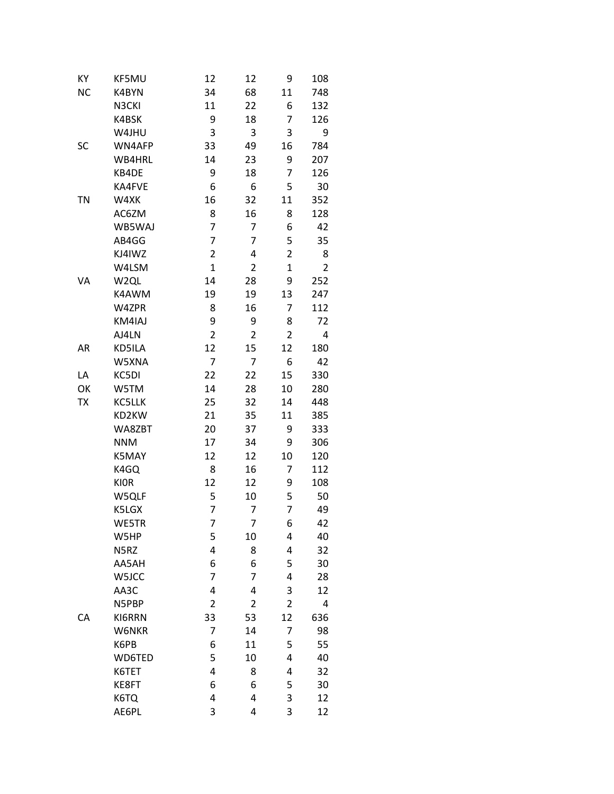| KY        | KF5MU         | 12             | 12             | 9              | 108            |
|-----------|---------------|----------------|----------------|----------------|----------------|
| <b>NC</b> | K4BYN         | 34             | 68             | 11             | 748            |
|           | N3CKI         | 11             | 22             | 6              | 132            |
|           | K4BSK         | 9              | 18             | 7              | 126            |
|           | W4JHU         | 3              | 3              | 3              | 9              |
| SC        | WN4AFP        | 33             | 49             | 16             | 784            |
|           | WB4HRL        | 14             | 23             | 9              | 207            |
|           | KB4DE         | 9              | 18             | 7              | 126            |
|           | KA4FVE        | 6              | 6              | 5              | 30             |
| <b>TN</b> | W4XK          | 16             | 32             | 11             | 352            |
|           | AC6ZM         | 8              | 16             | 8              | 128            |
|           | WB5WAJ        | $\overline{7}$ | 7              | 6              | 42             |
|           | AB4GG         | 7              | 7              | 5              | 35             |
|           | KJ4IWZ        | $\overline{2}$ | 4              | $\overline{2}$ | 8              |
|           | W4LSM         | $\overline{1}$ | $\overline{2}$ | $\overline{1}$ | $\overline{2}$ |
| VA        | W2QL          | 14             | 28             | 9              | 252            |
|           | K4AWM         | 19             | 19             | 13             | 247            |
|           | W4ZPR         | 8              | 16             | 7              | 112            |
|           | KM4IAJ        | 9              | 9              | 8              | 72             |
|           | AJ4LN         | $\overline{2}$ | $\overline{2}$ | $\overline{2}$ | 4              |
| AR        | KD5ILA        | 12             | 15             | 12             | 180            |
|           | W5XNA         | $\overline{7}$ | 7              | 6              | 42             |
| LA        | KC5DI         | 22             | 22             | 15             | 330            |
| OK        | W5TM          | 14             | 28             | 10             | 280            |
| TX        | KC5LLK        | 25             | 32             | 14             | 448            |
|           | KD2KW         | 21             | 35             | 11             | 385            |
|           | WA8ZBT        | 20             | 37             | 9              | 333            |
|           | <b>NNM</b>    | 17             | 34             | 9              | 306            |
|           | K5MAY         | 12             | 12             | 10             | 120            |
|           | K4GQ          | 8              | 16             | 7              | 112            |
|           | <b>KIOR</b>   | 12             | 12             | 9              | 108            |
|           | W5QLF         | 5              | 10             | 5              | 50             |
|           | K5LGX         | 7              | 7              | 7              | 49             |
|           | WE5TR         | $\overline{7}$ | 7              | 6              | 42             |
|           | W5HP          | 5              | 10             | 4              | 40             |
|           | N5RZ          | 4              | 8              | 4              | 32             |
|           | AA5AH         | 6              | 6              | 5              | 30             |
|           | W5JCC         | 7              | 7              | 4              | 28             |
|           | AA3C          | 4              | 4              | 3              | 12             |
|           | N5PBP         | $\overline{2}$ | $\overline{2}$ | $\overline{2}$ | 4              |
| CA        | KI6RRN        | 33             | 53             | 12             | 636            |
|           | W6NKR         | 7              | 14             | 7              | 98             |
|           | K6PB          | 6              | 11             | 5              | 55             |
|           | <b>WD6TED</b> | 5              | 10             | 4              | 40             |
|           | K6TET         | 4              | 8              | 4              | 32             |
|           | KE8FT         | 6              | 6              | 5              | 30             |
|           | K6TQ          | 4              | 4              | 3              | 12             |
|           | AE6PL         | 3              | 4              | 3              | 12             |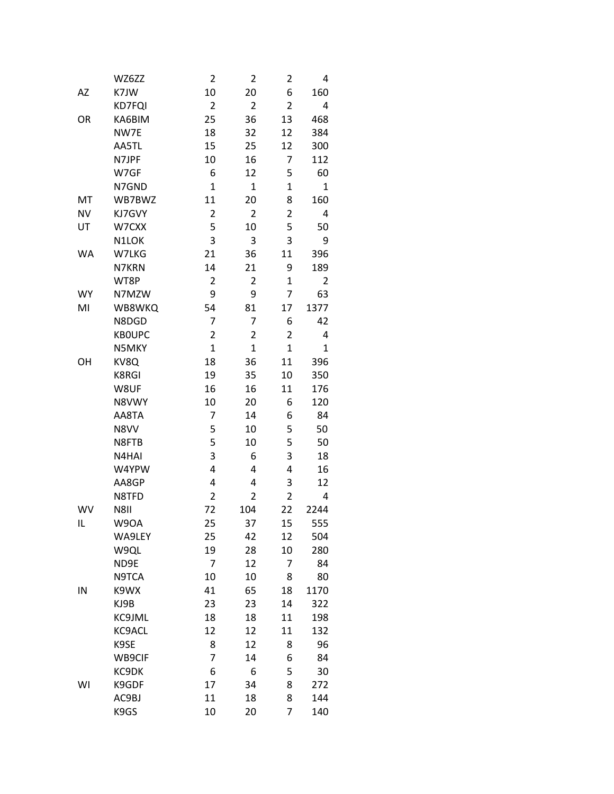|           | WZ6ZZ         | 2              | $\overline{2}$ | $\overline{\mathbf{c}}$ | 4            |
|-----------|---------------|----------------|----------------|-------------------------|--------------|
| AZ        | K7JW          | 10             | 20             | 6                       | 160          |
|           | KD7FQI        | $\overline{2}$ | $\overline{2}$ | $\overline{2}$          | 4            |
| OR        | KA6BIM        | 25             | 36             | 13                      | 468          |
|           | NW7E          | 18             | 32             | 12                      | 384          |
|           | AA5TL         | 15             | 25             | 12                      | 300          |
|           | N7JPF         | 10             | 16             | 7                       | 112          |
|           | W7GF          | 6              | 12             | 5                       | 60           |
|           | N7GND         | $\overline{1}$ | $\overline{1}$ | $\overline{1}$          | $\mathbf{1}$ |
| MT        | WB7BWZ        | 11             | 20             | 8                       | 160          |
| <b>NV</b> | KJ7GVY        | 2              | $\overline{2}$ | $\overline{\mathbf{c}}$ | 4            |
| UT        | W7CXX         | 5              | 10             | 5                       | 50           |
|           | N1LOK         | 3              | 3              | 3                       | 9            |
| WA        | W7LKG         | 21             | 36             | 11                      | 396          |
|           | N7KRN         | 14             | 21             | 9                       | 189          |
|           | WT8P          | $\overline{2}$ | $\overline{2}$ | $\overline{1}$          | 2            |
| <b>WY</b> | N7MZW         | 9              | 9              | 7                       | 63           |
| MI        | WB8WKQ        | 54             | 81             | 17                      | 1377         |
|           | N8DGD         | 7              | 7              | 6                       | 42           |
|           | <b>KBOUPC</b> | $\overline{2}$ | 2              | $\overline{2}$          | 4            |
|           | N5MKY         | $\overline{1}$ | $\overline{1}$ | $\overline{1}$          | $\mathbf 1$  |
| OH        | KV8Q          | 18             | 36             | 11                      | 396          |
|           | <b>K8RGI</b>  | 19             | 35             | 10                      | 350          |
|           | W8UF          | 16             | 16             | 11                      | 176          |
|           | N8VWY         | 10             | 20             | 6                       | 120          |
|           | AA8TA         | 7              | 14             | 6                       | 84           |
|           | N8VV          | 5              | 10             | 5                       | 50           |
|           | N8FTB         | 5              | 10             | 5                       | 50           |
|           | N4HAI         | 3              | 6              | 3                       | 18           |
|           | W4YPW         | 4              | 4              | 4                       | 16           |
|           | AA8GP         | 4              | 4              | 3                       | 12           |
|           | N8TFD         | $\overline{2}$ | $\overline{2}$ | $\overline{2}$          | 4            |
| WV        | N8II          | 72             | 104            | 22                      | 2244         |
| IL        | W9OA          | 25             | 37             | 15                      | 555          |
|           | WA9LEY        | 25             | 42             | 12                      | 504          |
|           | W9QL          | 19             | 28             | 10                      | 280          |
|           | ND9E          | 7              | 12             | 7                       | 84           |
|           | N9TCA         | 10             | 10             | 8                       | 80           |
| IN        | K9WX          | 41             | 65             | 18                      | 1170         |
|           | KJ9B          | 23             | 23             | 14                      | 322          |
|           | KC9JML        | 18             | 18             | 11                      | 198          |
|           | KC9ACL        | 12             | 12             | 11                      | 132          |
|           | K9SE          | 8              | 12             | 8                       | 96           |
|           | WB9CIF        | 7              | 14             | 6                       | 84           |
|           | KC9DK         | 6              | 6              | 5                       | 30           |
| WI        | K9GDF         | 17             | 34             | 8                       | 272          |
|           | AC9BJ         | 11             | 18             | 8                       | 144          |
|           | K9GS          | 10             | 20             | 7                       | 140          |